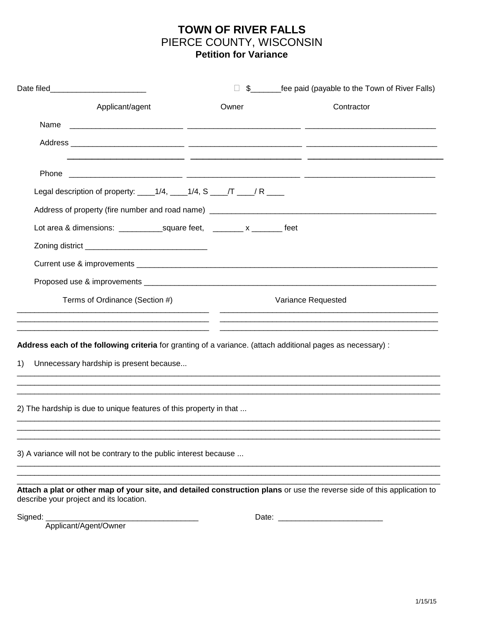## **TOWN OF RIVER FALLS** PIERCE COUNTY, WISCONSIN **Petition for Variance**

|                                                                                                                                                                    |                                                                                                                      | \$__________fee paid (payable to the Town of River Falls)   |
|--------------------------------------------------------------------------------------------------------------------------------------------------------------------|----------------------------------------------------------------------------------------------------------------------|-------------------------------------------------------------|
| Applicant/agent                                                                                                                                                    | Owner                                                                                                                | Contractor                                                  |
| Name                                                                                                                                                               | <u> 1999 - Jan James James Jan James James Jan James James James James James James James James James James James</u> |                                                             |
|                                                                                                                                                                    |                                                                                                                      |                                                             |
| Phone                                                                                                                                                              |                                                                                                                      | <u> 1999 - Jan James James, president politik (j. 1989)</u> |
| Legal description of property: $1/4$ , $1/4$ , S $1/4$ , S $\frac{1}{1/4}$ , R $\frac{1}{1/4}$                                                                     |                                                                                                                      |                                                             |
|                                                                                                                                                                    |                                                                                                                      |                                                             |
|                                                                                                                                                                    |                                                                                                                      |                                                             |
|                                                                                                                                                                    |                                                                                                                      |                                                             |
|                                                                                                                                                                    |                                                                                                                      |                                                             |
|                                                                                                                                                                    |                                                                                                                      |                                                             |
| Terms of Ordinance (Section #)                                                                                                                                     |                                                                                                                      | Variance Requested                                          |
| Address each of the following criteria for granting of a variance. (attach additional pages as necessary) :<br>Unnecessary hardship is present because<br>1)       |                                                                                                                      |                                                             |
| 2) The hardship is due to unique features of this property in that                                                                                                 |                                                                                                                      |                                                             |
| 3) A variance will not be contrary to the public interest because                                                                                                  |                                                                                                                      |                                                             |
| Attach a plat or other map of your site, and detailed construction plans or use the reverse side of this application to<br>describe your project and its location. |                                                                                                                      |                                                             |
| Signed:<br>Applicant/Agent/Owner                                                                                                                                   |                                                                                                                      |                                                             |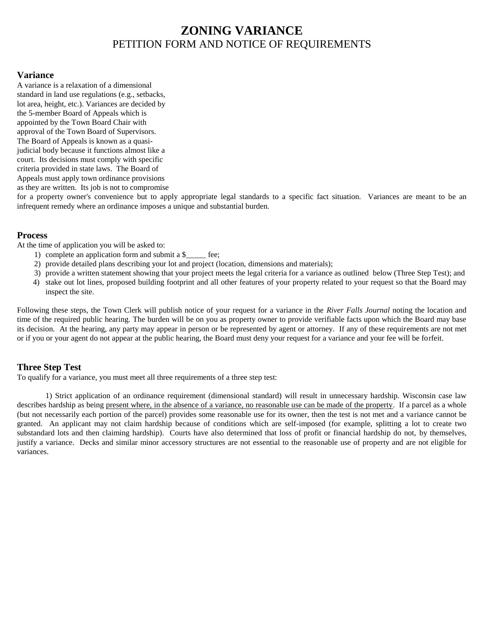# **ZONING VARIANCE** PETITION FORM AND NOTICE OF REQUIREMENTS

### **Variance**

A variance is a relaxation of a dimensional standard in land use regulations (e.g., setbacks, lot area, height, etc.). Variances are decided by the 5-member Board of Appeals which is appointed by the Town Board Chair with approval of the Town Board of Supervisors. The Board of Appeals is known as a quasijudicial body because it functions almost like a court. Its decisions must comply with specific criteria provided in state laws. The Board of Appeals must apply town ordinance provisions as they are written. Its job is not to compromise

for a property owner's convenience but to apply appropriate legal standards to a specific fact situation. Variances are meant to be an infrequent remedy where an ordinance imposes a unique and substantial burden.

#### **Process**

At the time of application you will be asked to:

- 1) complete an application form and submit a \$\_\_\_\_\_ fee;
- 2) provide detailed plans describing your lot and project (location, dimensions and materials);
- 3) provide a written statement showing that your project meets the legal criteria for a variance as outlined below (Three Step Test); and
- 4) stake out lot lines, proposed building footprint and all other features of your property related to your request so that the Board may inspect the site.

Following these steps, the Town Clerk will publish notice of your request for a variance in the *River Falls Journal* noting the location and time of the required public hearing. The burden will be on you as property owner to provide verifiable facts upon which the Board may base its decision. At the hearing, any party may appear in person or be represented by agent or attorney. If any of these requirements are not met or if you or your agent do not appear at the public hearing, the Board must deny your request for a variance and your fee will be forfeit.

### **Three Step Test**

To qualify for a variance, you must meet all three requirements of a three step test:

1) Strict application of an ordinance requirement (dimensional standard) will result in unnecessary hardship. Wisconsin case law describes hardship as being present where, in the absence of a variance, no reasonable use can be made of the property. If a parcel as a whole (but not necessarily each portion of the parcel) provides some reasonable use for its owner, then the test is not met and a variance cannot be granted. An applicant may not claim hardship because of conditions which are self-imposed (for example, splitting a lot to create two substandard lots and then claiming hardship). Courts have also determined that loss of profit or financial hardship do not, by themselves, justify a variance. Decks and similar minor accessory structures are not essential to the reasonable use of property and are not eligible for variances.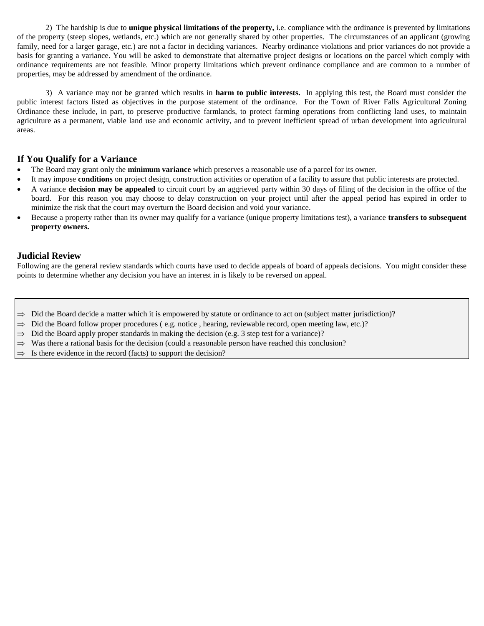2) The hardship is due to **unique physical limitations of the property,** i.e. compliance with the ordinance is prevented by limitations of the property (steep slopes, wetlands, etc.) which are not generally shared by other properties. The circumstances of an applicant (growing family, need for a larger garage, etc.) are not a factor in deciding variances. Nearby ordinance violations and prior variances do not provide a basis for granting a variance. You will be asked to demonstrate that alternative project designs or locations on the parcel which comply with ordinance requirements are not feasible. Minor property limitations which prevent ordinance compliance and are common to a number of properties, may be addressed by amendment of the ordinance.

3) A variance may not be granted which results in **harm to public interests.** In applying this test, the Board must consider the public interest factors listed as objectives in the purpose statement of the ordinance. For the Town of River Falls Agricultural Zoning Ordinance these include, in part, to preserve productive farmlands, to protect farming operations from conflicting land uses, to maintain agriculture as a permanent, viable land use and economic activity, and to prevent inefficient spread of urban development into agricultural areas.

#### **If You Qualify for a Variance**

- The Board may grant only the **minimum variance** which preserves a reasonable use of a parcel for its owner.
- It may impose **conditions** on project design, construction activities or operation of a facility to assure that public interests are protected.
- A variance **decision may be appealed** to circuit court by an aggrieved party within 30 days of filing of the decision in the office of the board. For this reason you may choose to delay construction on your project until after the appeal period has expired in order to minimize the risk that the court may overturn the Board decision and void your variance.
- Because a property rather than its owner may qualify for a variance (unique property limitations test), a variance **transfers to subsequent property owners.**

#### **Judicial Review**

Following are the general review standards which courts have used to decide appeals of board of appeals decisions. You might consider these points to determine whether any decision you have an interest in is likely to be reversed on appeal.

- $\Rightarrow$  Did the Board decide a matter which it is empowered by statute or ordinance to act on (subject matter jurisdiction)?
- $\Rightarrow$  Did the Board follow proper procedures (e.g. notice, hearing, reviewable record, open meeting law, etc.)?
- $\Rightarrow$  Did the Board apply proper standards in making the decision (e.g. 3 step test for a variance)?
- $\Rightarrow$  Was there a rational basis for the decision (could a reasonable person have reached this conclusion?
- Is there evidence in the record (facts) to support the decision?